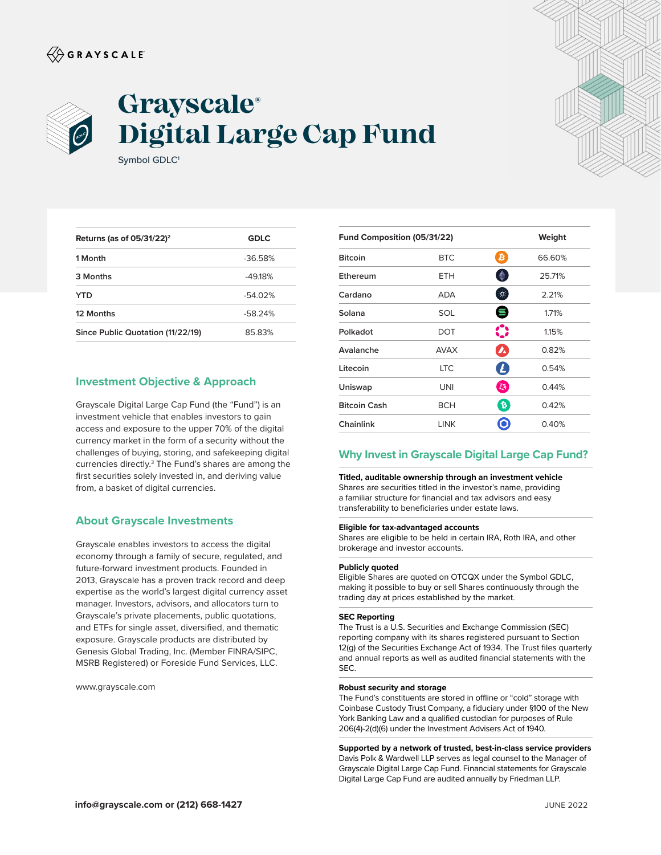# $\langle\!\!\!\langle\hat{\mathbin{\hspace{1.5pt}\circ}}$  G R A Y S C A L E



# **Grayscale® Digital Large Cap Fund**

| <b>GDLC</b> |
|-------------|
| $-36.58%$   |
| $-4918%$    |
| $-54.02%$   |
| $-58.24%$   |
| 8583%       |
|             |

# **Investment Objective & Approach**

Symbol GDLC<sup>1</sup>

Grayscale Digital Large Cap Fund (the "Fund") is an investment vehicle that enables investors to gain access and exposure to the upper 70% of the digital currency market in the form of a security without the challenges of buying, storing, and safekeeping digital currencies directly.<sup>3</sup> The Fund's shares are among the first securities solely invested in, and deriving value from, a basket of digital currencies.

## **About Grayscale Investments**

Grayscale enables investors to access the digital economy through a family of secure, regulated, and future-forward investment products. Founded in 2013, Grayscale has a proven track record and deep expertise as the world's largest digital currency asset manager. Investors, advisors, and allocators turn to Grayscale's private placements, public quotations, and ETFs for single asset, diversified, and thematic exposure. Grayscale products are distributed by Genesis Global Trading, Inc. (Member FINRA/SIPC, MSRB Registered) or Foreside Fund Services, LLC.

www.grayscale.com

| Fund Composition (05/31/22)<br>Weight |             |                             |        |
|---------------------------------------|-------------|-----------------------------|--------|
| <b>Bitcoin</b>                        | <b>BTC</b>  | ₿                           | 66.60% |
| Ethereum                              | ETH         | ◈                           | 25.71% |
| Cardano                               | <b>ADA</b>  | $\mathcal{L}_{\mathcal{A}}$ | 2.21%  |
| Solana                                | SOL         | 8                           | 1.71%  |
| Polkadot                              | DOT         | $\bf C$                     | 1.15%  |
| Avalanche                             | <b>AVAX</b> | $\boldsymbol{\lambda}$      | 0.82%  |
| Litecoin                              | <b>LTC</b>  | $\boldsymbol{L}$            | 0.54%  |
| Uniswap                               | UNI         | LS.                         | 0.44%  |
| <b>Bitcoin Cash</b>                   | <b>BCH</b>  | $\mathfrak{p}$              | 0.42%  |
| Chainlink                             | LINK        |                             | 0.40%  |
|                                       |             |                             |        |

## **Why Invest in Grayscale Digital Large Cap Fund?**

**Titled, auditable ownership through an investment vehicle** Shares are securities titled in the investor's name, providing a familiar structure for financial and tax advisors and easy transferability to beneficiaries under estate laws.

#### **Eligible for tax-advantaged accounts**

Shares are eligible to be held in certain IRA, Roth IRA, and other brokerage and investor accounts.

#### **Publicly quoted**

Eligible Shares are quoted on OTCQX under the Symbol GDLC, making it possible to buy or sell Shares continuously through the trading day at prices established by the market.

#### **SEC Reporting**

The Trust is a U.S. Securities and Exchange Commission (SEC) reporting company with its shares registered pursuant to Section 12(g) of the Securities Exchange Act of 1934. The Trust files quarterly and annual reports as well as audited financial statements with the SEC.

#### **Robust security and storage**

The Fund's constituents are stored in offline or "cold" storage with Coinbase Custody Trust Company, a fiduciary under §100 of the New York Banking Law and a qualified custodian for purposes of Rule 206(4)-2(d)(6) under the Investment Advisers Act of 1940.

**Supported by a network of trusted, best-in-class service providers** Davis Polk & Wardwell LLP serves as legal counsel to the Manager of Grayscale Digital Large Cap Fund. Financial statements for Grayscale Digital Large Cap Fund are audited annually by Friedman LLP.